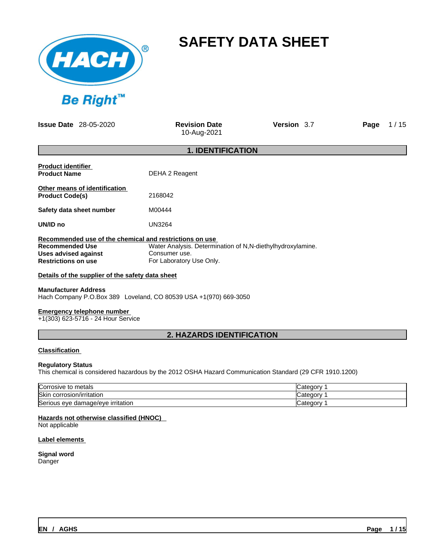

# **SAFETY DATA SHEET**

**Issue Date** 28-05-2020 **Revision Date** 

10-Aug-2021

**Version** 3.7 **Page** 1 / 15

|                                                                                                                                         | <b>1. IDENTIFICATION</b>                                                                                |  |  |
|-----------------------------------------------------------------------------------------------------------------------------------------|---------------------------------------------------------------------------------------------------------|--|--|
| <b>Product identifier</b><br><b>Product Name</b>                                                                                        | DEHA 2 Reagent                                                                                          |  |  |
| Other means of identification<br><b>Product Code(s)</b>                                                                                 | 2168042                                                                                                 |  |  |
| Safety data sheet number                                                                                                                | M00444                                                                                                  |  |  |
| UN/ID no                                                                                                                                | <b>UN3264</b>                                                                                           |  |  |
| Recommended use of the chemical and restrictions on use<br><b>Recommended Use</b><br>Uses advised against<br><b>Restrictions on use</b> | Water Analysis. Determination of N,N-diethylhydroxylamine.<br>Consumer use.<br>For Laboratory Use Only. |  |  |

**Details of the supplier of the safety data sheet**

## **Manufacturer Address**

Hach Company P.O.Box 389 Loveland, CO 80539 USA +1(970) 669-3050

## **Emergency telephone number**

+1(303) 623-5716 - 24 Hour Service

## **2. HAZARDS IDENTIFICATION**

## **Classification**

## **Regulatory Status**

This chemical is considered hazardous by the 2012 OSHA Hazard Communication Standard (29 CFR 1910.1200)

| ∽<br>Corrosive to metals                           | ICategorv       |
|----------------------------------------------------|-----------------|
| <b>Skin</b><br>corrosion/irritation                | aorv<br>uudleu. |
| הו<br>eve damage/eve irritation<br><b>ISerious</b> | ICategorv       |

## **Hazards not otherwise classified (HNOC)**

Not applicable

## **Label elements**

## **Signal word**

Danger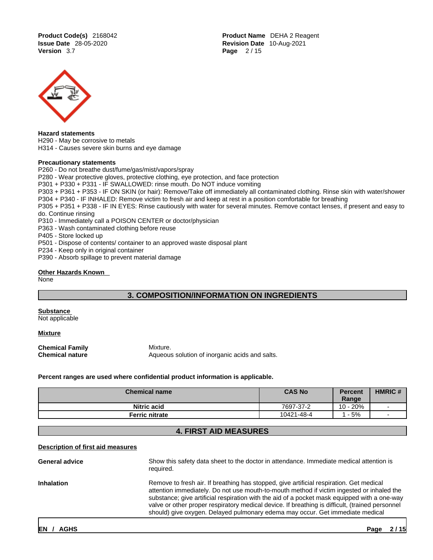**Product Code(s)** 2168042 **Product Name** DEHA 2 Reagent **Issue Date** 28-05-2020 **Revision Date** 10-Aug-2021 **Page 2/15** 



#### **Hazard statements**

H290 - May be corrosive to metals

H314 - Causes severe skin burns and eye damage

#### **Precautionary statements**

P260 - Do not breathe dust/fume/gas/mist/vapors/spray

P280 - Wear protective gloves, protective clothing, eye protection, and face protection

P301 + P330 + P331 - IF SWALLOWED: rinse mouth. Do NOT induce vomiting

P303 + P361 + P353 - IF ON SKIN (or hair): Remove/Take off immediately all contaminated clothing. Rinse skin with water/shower

P304 + P340 - IF INHALED: Remove victim to fresh air and keep at rest in a position comfortable for breathing

P305 + P351 + P338 - IF IN EYES: Rinse cautiously with water forseveral minutes. Remove contact lenses, if present and easy to do. Continue rinsing

P310 - Immediately call a POISON CENTER or doctor/physician

P363 - Wash contaminated clothing before reuse

P405 - Store locked up

P501 - Dispose of contents/ container to an approved waste disposal plant

P234 - Keep only in original container

P390 - Absorb spillage to prevent material damage

## **Other Hazards Known**

None

## **3. COMPOSITION/INFORMATION ON INGREDIENTS**

**Substance** 

Not applicable

**Mixture**

**Chemical Family Mixture.**<br> **Chemical nature** Aqueous

**Chemical nature** Aqueous solution of inorganic acids and salts.

**Percent ranges are used where confidential product information is applicable.**

| <b>Chemical name</b> | <b>CAS No</b> | <b>Percent</b><br>Range | <b>HMRIC#</b> |
|----------------------|---------------|-------------------------|---------------|
| <b>Nitric acid</b>   | 7697-37-2     | 10 - 20%                |               |
| Ferric nitrate       | 10421-48-4    | $-5%$                   |               |

## **4. FIRST AID MEASURES**

## **Description of first aid measures**

| General advice    | Show this safety data sheet to the doctor in attendance. Immediate medical attention is<br>required.                                                                                                                                                                                                                                                                                                                                                                     |
|-------------------|--------------------------------------------------------------------------------------------------------------------------------------------------------------------------------------------------------------------------------------------------------------------------------------------------------------------------------------------------------------------------------------------------------------------------------------------------------------------------|
| <b>Inhalation</b> | Remove to fresh air. If breathing has stopped, give artificial respiration. Get medical<br>attention immediately. Do not use mouth-to-mouth method if victim ingested or inhaled the<br>substance; give artificial respiration with the aid of a pocket mask equipped with a one-way<br>valve or other proper respiratory medical device. If breathing is difficult, (trained personnel<br>should) give oxygen. Delayed pulmonary edema may occur. Get immediate medical |
|                   |                                                                                                                                                                                                                                                                                                                                                                                                                                                                          |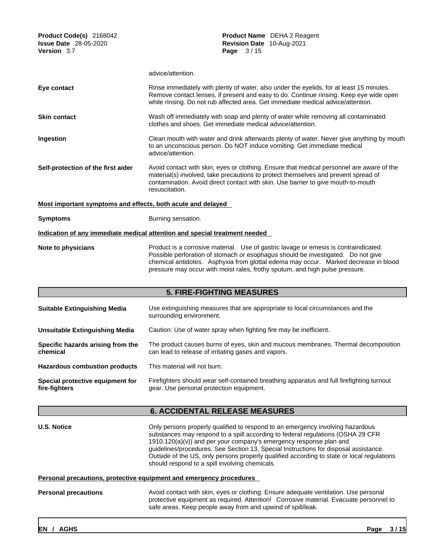| Product Code(s) 2168042<br><b>Issue Date</b> 28-05-2020<br>Version 3.7 | <b>Product Name</b> DEHA 2 Reagent<br>Revision Date 10-Aug-2021<br>Page 3/15                                                                                                                                                                                                                                                                    |
|------------------------------------------------------------------------|-------------------------------------------------------------------------------------------------------------------------------------------------------------------------------------------------------------------------------------------------------------------------------------------------------------------------------------------------|
|                                                                        | advice/attention.                                                                                                                                                                                                                                                                                                                               |
| Eye contact                                                            | Rinse immediately with plenty of water, also under the eyelids, for at least 15 minutes.<br>Remove contact lenses, if present and easy to do. Continue rinsing. Keep eye wide open<br>while rinsing. Do not rub affected area. Get immediate medical advice/attention.                                                                          |
| <b>Skin contact</b>                                                    | Wash off immediately with soap and plenty of water while removing all contaminated<br>clothes and shoes. Get immediate medical advice/attention.                                                                                                                                                                                                |
| Ingestion                                                              | Clean mouth with water and drink afterwards plenty of water. Never give anything by mouth<br>to an unconscious person. Do NOT induce vomiting. Get immediate medical<br>advice/attention.                                                                                                                                                       |
| Self-protection of the first aider                                     | Avoid contact with skin, eyes or clothing. Ensure that medical personnel are aware of the<br>material(s) involved, take precautions to protect themselves and prevent spread of<br>contamination. Avoid direct contact with skin. Use barrier to give mouth-to-mouth<br>resuscitation.                                                          |
| Most important symptoms and effects, both acute and delayed            |                                                                                                                                                                                                                                                                                                                                                 |
| <b>Symptoms</b>                                                        | Burning sensation.                                                                                                                                                                                                                                                                                                                              |
|                                                                        | Indication of any immediate medical attention and special treatment needed                                                                                                                                                                                                                                                                      |
| Note to physicians                                                     | Product is a corrosive material. Use of gastric lavage or emesis is contraindicated.<br>Possible perforation of stomach or esophagus should be investigated. Do not give<br>chemical antidotes. Asphyxia from glottal edema may occur. Marked decrease in blood<br>pressure may occur with moist rales, frothy sputum, and high pulse pressure. |
|                                                                        | <b>5. FIRE-FIGHTING MEASURES</b>                                                                                                                                                                                                                                                                                                                |
| <b>Suitable Extinguishing Media</b>                                    | Use extinguishing measures that are appropriate to local circumstances and the<br>surrounding environment.                                                                                                                                                                                                                                      |

| Unsuitable Extinguishing Media                | Caution: Use of water spray when fighting fire may be inefficient.                                                                        |
|-----------------------------------------------|-------------------------------------------------------------------------------------------------------------------------------------------|
| Specific hazards arising from the<br>chemical | The product causes burns of eyes, skin and mucous membranes. Thermal decomposition<br>can lead to release of irritating gases and vapors. |
| <b>Hazardous combustion products</b>          | This material will not burn.                                                                                                              |

**Special protective equipment for fire-fighters** Firefighters should wear self-contained breathing apparatus and full firefighting turnout gear. Use personal protection equipment.

## **6. ACCIDENTAL RELEASE MEASURES**

**U.S. Notice Dimension Constanting Conducts** Only persons properly qualified to respond to an emergency involving hazardous substances may respond to a spill according to federal regulations (OSHA 29 CFR 1910.120(a)(v)) and per your company's emergency response plan and guidelines/procedures. See Section 13, Special Instructions for disposal assistance. Outside of the US, only persons properly qualified according to state or local regulations should respond to a spill involving chemicals.

## **Personal precautions, protective equipment and emergency procedures**

**Personal precautions** Avoid contact with skin, eyes or clothing. Ensure adequate ventilation. Use personal protective equipment as required.Attention! Corrosive material. Evacuate personnel to safe areas. Keep people away from and upwind of spill/leak.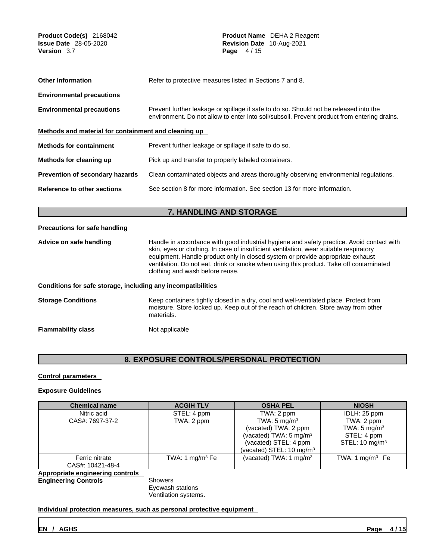| Product Code(s) 2168042<br><b>Issue Date</b> 28-05-2020<br><b>Version</b> 3.7 | Product Name DEHA 2 Reagent<br>Revision Date 10-Aug-2021<br>Page 4/15                                                                                                                                                                                                                                                                                                                              |  |  |  |  |  |
|-------------------------------------------------------------------------------|----------------------------------------------------------------------------------------------------------------------------------------------------------------------------------------------------------------------------------------------------------------------------------------------------------------------------------------------------------------------------------------------------|--|--|--|--|--|
| <b>Other Information</b>                                                      | Refer to protective measures listed in Sections 7 and 8.                                                                                                                                                                                                                                                                                                                                           |  |  |  |  |  |
| <b>Environmental precautions</b>                                              |                                                                                                                                                                                                                                                                                                                                                                                                    |  |  |  |  |  |
| <b>Environmental precautions</b>                                              | Prevent further leakage or spillage if safe to do so. Should not be released into the<br>environment. Do not allow to enter into soil/subsoil. Prevent product from entering drains.                                                                                                                                                                                                               |  |  |  |  |  |
| Methods and material for containment and cleaning up                          |                                                                                                                                                                                                                                                                                                                                                                                                    |  |  |  |  |  |
| <b>Methods for containment</b>                                                | Prevent further leakage or spillage if safe to do so.                                                                                                                                                                                                                                                                                                                                              |  |  |  |  |  |
| Methods for cleaning up                                                       | Pick up and transfer to properly labeled containers.                                                                                                                                                                                                                                                                                                                                               |  |  |  |  |  |
| Prevention of secondary hazards                                               | Clean contaminated objects and areas thoroughly observing environmental regulations.                                                                                                                                                                                                                                                                                                               |  |  |  |  |  |
| <b>Reference to other sections</b>                                            | See section 8 for more information. See section 13 for more information.                                                                                                                                                                                                                                                                                                                           |  |  |  |  |  |
|                                                                               | 7. HANDLING AND STORAGE                                                                                                                                                                                                                                                                                                                                                                            |  |  |  |  |  |
| <b>Precautions for safe handling</b>                                          |                                                                                                                                                                                                                                                                                                                                                                                                    |  |  |  |  |  |
| Advice on safe handling                                                       | Handle in accordance with good industrial hygiene and safety practice. Avoid contact with<br>skin, eyes or clothing. In case of insufficient ventilation, wear suitable respiratory<br>equipment. Handle product only in closed system or provide appropriate exhaust<br>ventilation. Do not eat, drink or smoke when using this product. Take off contaminated<br>clothing and wash before reuse. |  |  |  |  |  |
| Conditions for safe storage, including any incompatibilities                  |                                                                                                                                                                                                                                                                                                                                                                                                    |  |  |  |  |  |
| <b>Storage Conditions</b>                                                     | Keep containers tightly closed in a dry, cool and well-ventilated place. Protect from<br>moisture. Store locked up. Keep out of the reach of children. Store away from other<br>materials.                                                                                                                                                                                                         |  |  |  |  |  |
| <b>Flammability class</b>                                                     | Not applicable                                                                                                                                                                                                                                                                                                                                                                                     |  |  |  |  |  |
|                                                                               |                                                                                                                                                                                                                                                                                                                                                                                                    |  |  |  |  |  |

## **8. EXPOSURE CONTROLS/PERSONAL PROTECTION**

## **Control parameters**

## **Exposure Guidelines**

| <b>Chemical name</b>             | <b>ACGIH TLV</b>  | <b>OSHA PEL</b>                     | <b>NIOSH</b>              |
|----------------------------------|-------------------|-------------------------------------|---------------------------|
| Nitric acid                      | STEL: 4 ppm       | TWA: 2 ppm                          | IDLH: 25 ppm              |
| CAS#: 7697-37-2                  | TWA: 2 ppm        | TWA: $5 \text{ mg/m}^3$             | TWA: 2 ppm                |
|                                  |                   | (vacated) TWA: 2 ppm                | TWA: 5 mg/m <sup>3</sup>  |
|                                  |                   | (vacated) TWA: 5 mg/m $3$           | STEL: 4 ppm               |
|                                  |                   | (vacated) STEL: 4 ppm               | STEL: $10 \text{ mg/m}^3$ |
|                                  |                   | (vacated) STEL: $10 \text{ mg/m}^3$ |                           |
| Ferric nitrate                   | TWA: 1 $mg/m3$ Fe | (vacated) TWA: $1 \text{ mg/m}^3$   | TWA: 1 mg/m $3$ Fe        |
| CAS#: 10421-48-4                 |                   |                                     |                           |
| Appropriate engineering controls |                   |                                     |                           |
| <b>Engineering Controls</b>      | Showers           |                                     |                           |

Eyewash stations

Ventilation systems.

**Individual protection measures, such as personal protective equipment**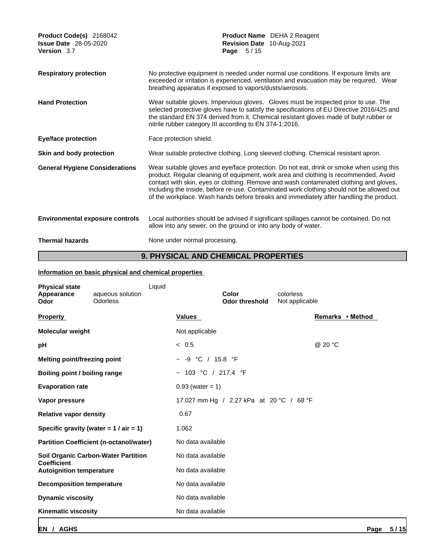| Product Code(s) 2168042<br><b>Issue Date</b> 28-05-2020<br>Version 3.7 | <b>Product Name</b> DEHA 2 Reagent<br>Revision Date 10-Aug-2021<br>Page 5/15                                                                                                                                                                                                                                                                                                                                                                                      |
|------------------------------------------------------------------------|-------------------------------------------------------------------------------------------------------------------------------------------------------------------------------------------------------------------------------------------------------------------------------------------------------------------------------------------------------------------------------------------------------------------------------------------------------------------|
| <b>Respiratory protection</b>                                          | No protective equipment is needed under normal use conditions. If exposure limits are<br>exceeded or irritation is experienced, ventilation and evacuation may be required. Wear<br>breathing apparatus if exposed to vapors/dusts/aerosols.                                                                                                                                                                                                                      |
| <b>Hand Protection</b>                                                 | Wear suitable gloves. Impervious gloves. Gloves must be inspected prior to use. The<br>selected protective gloves have to satisfy the specifications of EU Directive 2016/425 and<br>the standard EN 374 derived from it. Chemical resistant gloves made of butyl rubber or<br>nitrile rubber category III according to EN 374-1:2016.                                                                                                                            |
| <b>Eye/face protection</b>                                             | Face protection shield.                                                                                                                                                                                                                                                                                                                                                                                                                                           |
| Skin and body protection                                               | Wear suitable protective clothing. Long sleeved clothing. Chemical resistant apron.                                                                                                                                                                                                                                                                                                                                                                               |
| <b>General Hygiene Considerations</b>                                  | Wear suitable gloves and eye/face protection. Do not eat, drink or smoke when using this<br>product. Regular cleaning of equipment, work area and clothing is recommended. Avoid<br>contact with skin, eyes or clothing. Remove and wash contaminated clothing and gloves,<br>including the inside, before re-use. Contaminated work clothing should not be allowed out<br>of the workplace. Wash hands before breaks and immediately after handling the product. |
| <b>Environmental exposure controls</b>                                 | Local authorities should be advised if significant spillages cannot be contained. Do not<br>allow into any sewer, on the ground or into any body of water.                                                                                                                                                                                                                                                                                                        |
| <b>Thermal hazards</b>                                                 | None under normal processing.                                                                                                                                                                                                                                                                                                                                                                                                                                     |

## **9. PHYSICAL AND CHEMICAL PROPERTIES**

## **Information on basic physical and chemical properties**

| <b>Physical state</b><br>Appearance<br>Odor | aqueous solution<br><b>Odorless</b>            | Liquid             | Color<br><b>Odor threshold</b>           | colorless<br>Not applicable |
|---------------------------------------------|------------------------------------------------|--------------------|------------------------------------------|-----------------------------|
| <b>Property</b>                             |                                                | <b>Values</b>      |                                          | Remarks • Method            |
| Molecular weight                            |                                                | Not applicable     |                                          |                             |
| рH                                          |                                                | < 0.5              |                                          | @ 20 °C                     |
| Melting point/freezing point                |                                                | -9                 | °C / 15.8 °F                             |                             |
| Boiling point / boiling range               |                                                |                    | ~ 103 °C / 217.4 °F                      |                             |
| <b>Evaporation rate</b>                     |                                                | $0.93$ (water = 1) |                                          |                             |
| Vapor pressure                              |                                                |                    | 17.027 mm Hg / 2.27 kPa at 20 °C / 68 °F |                             |
| <b>Relative vapor density</b>               |                                                | 0.67               |                                          |                             |
|                                             | Specific gravity (water = $1 / air = 1$ )      | 1.062              |                                          |                             |
|                                             | <b>Partition Coefficient (n-octanol/water)</b> | No data available  |                                          |                             |
| <b>Coefficient</b>                          | <b>Soil Organic Carbon-Water Partition</b>     | No data available  |                                          |                             |
| <b>Autoignition temperature</b>             |                                                | No data available  |                                          |                             |
| <b>Decomposition temperature</b>            |                                                | No data available  |                                          |                             |
| <b>Dynamic viscosity</b>                    |                                                | No data available  |                                          |                             |
| <b>Kinematic viscosity</b>                  |                                                | No data available  |                                          |                             |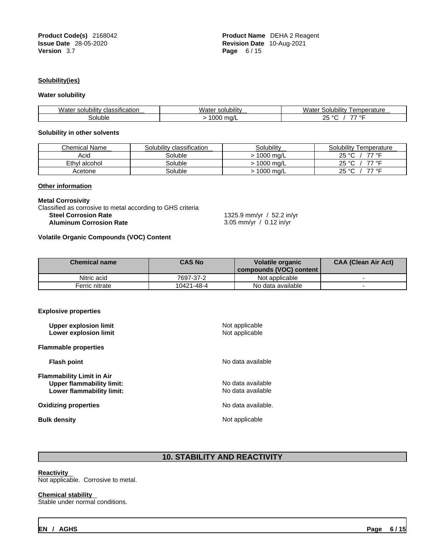**Product Code(s)** 2168042 **Product Name** DEHA 2 Reagent **Issue Date** 28-05-2020 **Revision Date** 10-Aug-2021 **Version** 3.7 **Page** 6 / 15

### **Solubility(ies)**

#### **Water solubility**

| $\cdots$<br><br>Water<br><b>classification</b><br>solubility | . .<br>solubility<br>vvater | <br>Solu<br>ibilitv<br>emperature<br>Water |
|--------------------------------------------------------------|-----------------------------|--------------------------------------------|
| soluble                                                      | 000<br>ma/L                 | $\Omega$<br>---<br>$-$<br>$\sim$           |

## **Solubility in other solvents**

| <b>Chemical Name</b> | Solubility classification | Solubility | Solubility<br>Temperature |
|----------------------|---------------------------|------------|---------------------------|
| Acid                 | Soluble                   | 1000 ma/L  | 25<br>77 °C<br>$\sim$     |
| Ethyl alcohol        | Soluble                   | 1000 mg/L  | 25<br>77 °C<br>$\sim$     |
| Acetone              | Soluble                   | 1000 mg/L  | 77 °C<br>25<br>$\sim$     |

## **Other information**

#### **Metal Corrosivity**

Classified as corrosive to metal according to GHS criteria<br>Steel Corrosion Rate **Aluminum Corrosion Rate** 

**Steel Corrosion Rate** 1325.9 mm/yr / 52.2 in/yr

## **Volatile Organic Compounds (VOC) Content**

| <b>Chemical name</b> | <b>CAS No</b> | <b>Volatile organic</b><br>  compounds (VOC) content | <b>CAA (Clean Air Act)</b> |
|----------------------|---------------|------------------------------------------------------|----------------------------|
| Nitric acid          | 7697-37-2     | Not applicable                                       |                            |
| Ferric nitrate       | 10421-48-4    | No data available                                    |                            |

### **Explosive properties**

| Upper explosion limit<br>Lower explosion limit                                                    | Not applicable<br>Not applicable       |
|---------------------------------------------------------------------------------------------------|----------------------------------------|
| <b>Flammable properties</b>                                                                       |                                        |
| <b>Flash point</b>                                                                                | No data available                      |
| <b>Flammability Limit in Air</b><br><b>Upper flammability limit:</b><br>Lower flammability limit: | No data available<br>No data available |
| <b>Oxidizing properties</b>                                                                       | No data available.                     |
| <b>Bulk density</b>                                                                               | Not applicable                         |
|                                                                                                   |                                        |

## **10. STABILITY AND REACTIVITY**

### **Reactivity**

Not applicable. Corrosive to metal.

#### **Chemical stability**

Stable under normal conditions.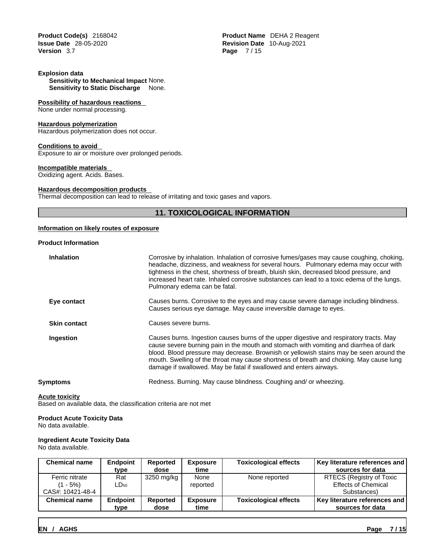**Issue Date** 28-05-2020 **Revision Date** 10-Aug-2021

### **Explosion data**

**Sensitivity to Mechanical Impact** None. **Sensitivity to Static Discharge** None.

#### **Possibility of hazardous reactions**

None under normal processing.

#### **Hazardous polymerization**

Hazardous polymerization does not occur.

#### **Conditions to avoid**

Exposure to air or moisture over prolonged periods.

## **Incompatible materials**

Oxidizing agent. Acids. Bases.

#### **Hazardous decomposition products**

Thermal decomposition can lead to release of irritating and toxic gases and vapors.

## **11. TOXICOLOGICAL INFORMATION**

#### **Information on likely routes of exposure**

#### **Product Information**

| <b>Inhalation</b>   | Corrosive by inhalation. Inhalation of corrosive fumes/gases may cause coughing, choking,<br>headache, dizziness, and weakness for several hours. Pulmonary edema may occur with<br>tightness in the chest, shortness of breath, bluish skin, decreased blood pressure, and<br>increased heart rate. Inhaled corrosive substances can lead to a toxic edema of the lungs.<br>Pulmonary edema can be fatal.                                   |
|---------------------|----------------------------------------------------------------------------------------------------------------------------------------------------------------------------------------------------------------------------------------------------------------------------------------------------------------------------------------------------------------------------------------------------------------------------------------------|
| Eye contact         | Causes burns. Corrosive to the eyes and may cause severe damage including blindness.<br>Causes serious eye damage. May cause irreversible damage to eyes.                                                                                                                                                                                                                                                                                    |
| <b>Skin contact</b> | Causes severe burns.                                                                                                                                                                                                                                                                                                                                                                                                                         |
| Ingestion           | Causes burns. Ingestion causes burns of the upper digestive and respiratory tracts. May<br>cause severe burning pain in the mouth and stomach with vomiting and diarrhea of dark<br>blood. Blood pressure may decrease. Brownish or yellowish stains may be seen around the<br>mouth. Swelling of the throat may cause shortness of breath and choking. May cause lung<br>damage if swallowed. May be fatal if swallowed and enters airways. |
| Svmptoms            | Redness. Burning. May cause blindness. Coughing and/ or wheezing.                                                                                                                                                                                                                                                                                                                                                                            |
|                     |                                                                                                                                                                                                                                                                                                                                                                                                                                              |

### **Acute toxicity**

Based on available data, the classification criteria are not met

## **Product Acute Toxicity Data**

No data available.

## **Ingredient Acute Toxicity Data**

No data available.

| <b>Chemical name</b> | <b>Endpoint</b>    | <b>Reported</b> | <b>Exposure</b> | <b>Toxicological effects</b> | Key literature references and |
|----------------------|--------------------|-----------------|-----------------|------------------------------|-------------------------------|
|                      | type               | dose            | time            |                              | sources for data              |
| Ferric nitrate       | Rat                | 3250 mg/kg      | None            | None reported                | RTECS (Registry of Toxic      |
| - 5%)                | $\mathsf{LD}_{50}$ |                 | reported        |                              | <b>Effects of Chemical</b>    |
| CAS#: 10421-48-4     |                    |                 |                 |                              | Substances)                   |
| <b>Chemical name</b> | Endpoint           | <b>Reported</b> | <b>Exposure</b> | <b>Toxicological effects</b> | Key literature references and |
|                      | type               | dose            | time            |                              | sources for data              |

**Product Code(s)** 2168042 **Product Name** DEHA 2 Reagent **Version** 3.7 **Page** 7 / 15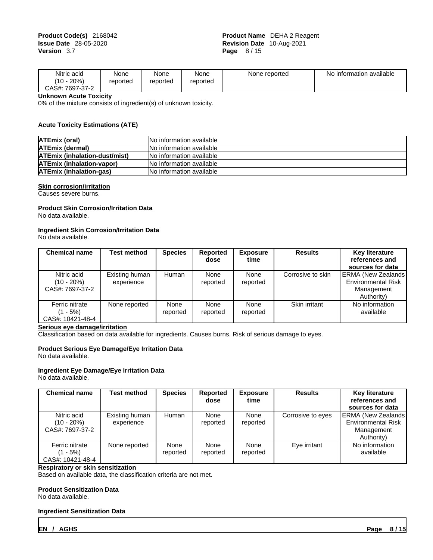| Nitric acid<br>20%<br>110<br>1 U | None<br>reported | None<br>reported | $\ddot{\phantom{1}}$<br>None<br>reported | None reported | information available<br>No |  |
|----------------------------------|------------------|------------------|------------------------------------------|---------------|-----------------------------|--|
| CAS#:<br>7697-37-2               |                  |                  |                                          |               |                             |  |

**Unknown Acute Toxicity**

0% of the mixture consists of ingredient(s) of unknown toxicity.

### **Acute Toxicity Estimations (ATE)**

| ATEmix (oral)                        | <b>No information available</b> |
|--------------------------------------|---------------------------------|
| <b>ATEmix (dermal)</b>               | <b>No information available</b> |
| <b>ATEmix (inhalation-dust/mist)</b> | No information available        |
| <b>ATEmix (inhalation-vapor)</b>     | <b>No information available</b> |
| <b>ATEmix (inhalation-gas)</b>       | <b>No information available</b> |

## **Skin corrosion/irritation**

Causes severe burns.

#### **Product Skin Corrosion/Irritation Data** No data available.

## **Ingredient Skin Corrosion/Irritation Data**

No data available.

| <b>Chemical name</b>                              | Test method                  | <b>Species</b>   | Reported<br>dose | <b>Exposure</b><br>time | <b>Results</b>    | <b>Key literature</b><br>references and<br>sources for data                         |
|---------------------------------------------------|------------------------------|------------------|------------------|-------------------------|-------------------|-------------------------------------------------------------------------------------|
| Nitric acid<br>$(10 - 20\%)$<br>CAS#: 7697-37-2   | Existing human<br>experience | Human            | None<br>reported | None<br>reported        | Corrosive to skin | <b>ERMA (New Zealands)</b><br><b>Environmental Risk</b><br>Management<br>Authority) |
| Ferric nitrate<br>$(1 - 5\%)$<br>CAS#: 10421-48-4 | None reported                | None<br>reported | None<br>reported | None<br>reported        | Skin irritant     | No information<br>available                                                         |

## **Serious eye damage/irritation**

Classification based on data available for ingredients. Causes burns. Risk of serious damage to eyes.

## **Product Serious Eye Damage/Eye Irritation Data**

No data available.

## **Ingredient Eye Damage/Eye Irritation Data**

No data available.

| <b>Chemical name</b>                              | Test method                  | <b>Species</b>   | Reported<br>dose | <b>Exposure</b><br>time | <b>Results</b>    | <b>Key literature</b><br>references and<br>sources for data                         |
|---------------------------------------------------|------------------------------|------------------|------------------|-------------------------|-------------------|-------------------------------------------------------------------------------------|
| Nitric acid<br>$(10 - 20\%)$<br>CAS#: 7697-37-2   | Existing human<br>experience | Human            | None<br>reported | None<br>reported        | Corrosive to eyes | <b>ERMA (New Zealands)</b><br><b>Environmental Risk</b><br>Management<br>Authority) |
| Ferric nitrate<br>$(1 - 5\%)$<br>CAS#: 10421-48-4 | None reported                | None<br>reported | None<br>reported | None<br>reported        | Eye irritant      | No information<br>available                                                         |

## **Respiratory or skin sensitization**

Based on available data, the classification criteria are not met.

## **Product Sensitization Data**

No data available.

#### **Ingredient Sensitization Data**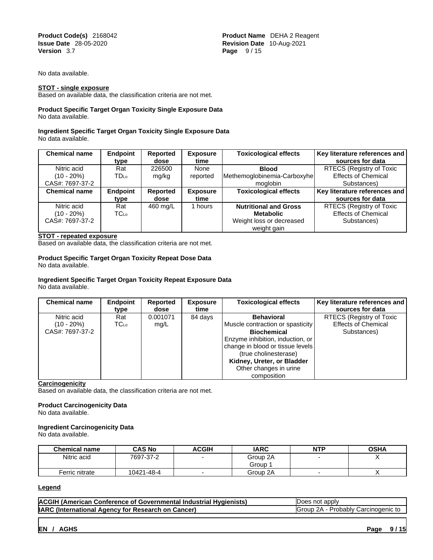**Product Code(s)** 2168042 **Product Name** DEHA 2 Reagent **Issue Date** 28-05-2020 **Revision Date** 10-Aug-2021 **Version** 3.7 **Page** 9 / 15

No data available.

### **STOT - single exposure**

Based on available data, the classification criteria are not met.

#### **Product Specific Target Organ Toxicity Single Exposure Data** No data available.

#### **Ingredient Specific Target Organ Toxicity Single Exposure Data** No data available.

| <b>Chemical name</b> | <b>Endpoint</b> | Reported | <b>Exposure</b> | <b>Toxicological effects</b> | Key literature references and |
|----------------------|-----------------|----------|-----------------|------------------------------|-------------------------------|
|                      | type            | dose     | time            |                              | sources for data              |
| Nitric acid          | Rat             | 226500   | None            | <b>Blood</b>                 | RTECS (Registry of Toxic      |
| $(10 - 20\%)$        | <b>TD</b> Lo    | mg/kg    | reported        | Methemoglobinemia-Carboxyhe  | <b>Effects of Chemical</b>    |
| CAS#: 7697-37-2      |                 |          |                 | moglobin                     | Substances)                   |
| <b>Chemical name</b> | <b>Endpoint</b> | Reported | <b>Exposure</b> | <b>Toxicological effects</b> | Key literature references and |
|                      | type            | dose     | time            |                              | sources for data              |
| Nitric acid          | Rat             | 460 mg/L | hours           | <b>Nutritional and Gross</b> | RTECS (Registry of Toxic      |
| $(10 - 20\%)$        | <b>TC</b> Lo    |          |                 | <b>Metabolic</b>             | <b>Effects of Chemical</b>    |
| CAS#: 7697-37-2      |                 |          |                 | Weight loss or decreased     | Substances)                   |
|                      |                 |          |                 | weight gain                  |                               |

#### **STOT - repeated exposure**

Based on available data, the classification criteria are not met.

#### **Product Specific Target Organ Toxicity Repeat Dose Data** No data available.

#### **Ingredient Specific Target Organ Toxicity Repeat Exposure Data** No data available.

| <b>Chemical name</b> | Endpoint<br>type | Reported<br>dose | <b>Exposure</b><br>time | <b>Toxicological effects</b>     | Key literature references and  <br>sources for data |  |
|----------------------|------------------|------------------|-------------------------|----------------------------------|-----------------------------------------------------|--|
| Nitric acid          | Rat              | 0.001071         | 84 days                 | <b>Behavioral</b>                | RTECS (Registry of Toxic                            |  |
| $(10 - 20\%)$        | <b>TC</b> Lo     | mq/L             |                         | Muscle contraction or spasticity | <b>Effects of Chemical</b>                          |  |
| CAS#: 7697-37-2      |                  |                  |                         | <b>Biochemical</b>               | Substances)                                         |  |
|                      |                  |                  |                         | Enzyme inhibition, induction, or |                                                     |  |
|                      |                  |                  |                         | change in blood or tissue levels |                                                     |  |
|                      |                  |                  |                         | (true cholinesterase)            |                                                     |  |
|                      |                  |                  |                         | Kidney, Ureter, or Bladder       |                                                     |  |
|                      |                  |                  |                         | Other changes in urine           |                                                     |  |
|                      |                  |                  |                         | composition                      |                                                     |  |

**Carcinogenicity**

Based on available data, the classification criteria are not met.

## **Product Carcinogenicity Data**

No data available.

### **Ingredient Carcinogenicity Data**

No data available.

| <b>Chemical name</b> | <b>CAS No</b> | ACGIH | <b>IARC</b> | <b>NTP</b> | <b>OSHA</b> |
|----------------------|---------------|-------|-------------|------------|-------------|
| Nitric acid          | 7697-37-2     |       | Group 2A    |            |             |
|                      |               |       | Group ∶     |            |             |
| Ferric nitrate       | 10421-48-4    |       | Group 2A    |            |             |

### **Legend**

| <b>ACGIF</b><br>Hvaienists.<br><b>BARACA</b><br>erican.<br>∴onference ∶<br>∵Indu.<br>. Ot<br>Governmenta<br>ıdustrıal<br>l Ame | apply<br>noi<br>$\ddot{\phantom{0}}$<br>~<br>. .                        |
|--------------------------------------------------------------------------------------------------------------------------------|-------------------------------------------------------------------------|
| IAR'<br>Cancer)<br>Ωn<br>Research<br>uonal<br>∵ (Inre<br>.nc<br>τо<br>Aae                                                      | :arcinogenic<br>᠈⋀<br>Prob<br>$-$ oblice.<br><b>IGrour</b><br>nouv<br>u |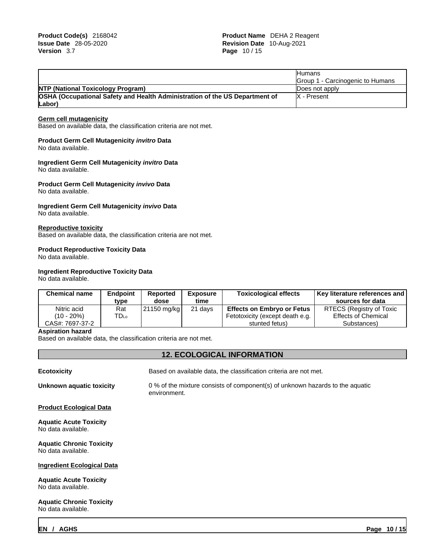|                                                                             | <b>Humans</b>                    |
|-----------------------------------------------------------------------------|----------------------------------|
|                                                                             | Group 1 - Carcinogenic to Humans |
| <b>NTP (National Toxicology Program)</b>                                    | Does not apply                   |
| OSHA (Occupational Safety and Health Administration of the US Department of | IX - Present                     |
| $\lfloor$ Labor $\rfloor$                                                   |                                  |

#### **Germ cell mutagenicity**

Based on available data, the classification criteria are not met.

### **Product Germ Cell Mutagenicity** *invitro* **Data**

No data available.

## **Ingredient Germ Cell Mutagenicity** *invitro* **Data**

No data available.

**Product Germ Cell Mutagenicity** *invivo* **Data** No data available.

## **Ingredient Germ Cell Mutagenicity** *invivo* **Data**

No data available.

#### **Reproductive toxicity**

Based on available data, the classification criteria are not met.

#### **Product Reproductive Toxicity Data**

No data available.

## **Ingredient Reproductive Toxicity Data**

No data available.

| Nitric acid<br>RTECS (Registry of Toxic<br>$\lfloor 21150 \text{ mg/kg} \rfloor$<br>21 days<br>Rat<br><b>Effects on Embryo or Fetus</b><br>™D⊾o<br>Effects of Chemical<br>$(10 - 20\%)$<br>Fetotoxicity (except death e.g.<br>CAS#: 7697-37-2<br>stunted fetus)<br>Substances) | <b>Chemical name</b> | <b>Endpoint</b><br>tvpe | <b>Reported</b><br>dose | <b>Exposure</b><br>time | <b>Toxicological effects</b> | Key literature references and  <br>sources for data |
|--------------------------------------------------------------------------------------------------------------------------------------------------------------------------------------------------------------------------------------------------------------------------------|----------------------|-------------------------|-------------------------|-------------------------|------------------------------|-----------------------------------------------------|
|                                                                                                                                                                                                                                                                                |                      |                         |                         |                         |                              |                                                     |
|                                                                                                                                                                                                                                                                                |                      |                         |                         |                         |                              |                                                     |
|                                                                                                                                                                                                                                                                                |                      |                         |                         |                         |                              |                                                     |

#### **Aspiration hazard**

Based on available data, the classification criteria are not met.

## **12. ECOLOGICAL INFORMATION**

| <b>Ecotoxicity</b>                                    | Based on available data, the classification criteria are not met.                             |
|-------------------------------------------------------|-----------------------------------------------------------------------------------------------|
| Unknown aquatic toxicity                              | 0 % of the mixture consists of component(s) of unknown hazards to the aquatic<br>environment. |
| <b>Product Ecological Data</b>                        |                                                                                               |
| <b>Aquatic Acute Toxicity</b><br>No data available.   |                                                                                               |
| <b>Aquatic Chronic Toxicity</b><br>No data available. |                                                                                               |
| <b>Ingredient Ecological Data</b>                     |                                                                                               |
| <b>Aquatic Acute Toxicity</b><br>No data available.   |                                                                                               |
| <b>Aquatic Chronic Toxicity</b><br>No data available. |                                                                                               |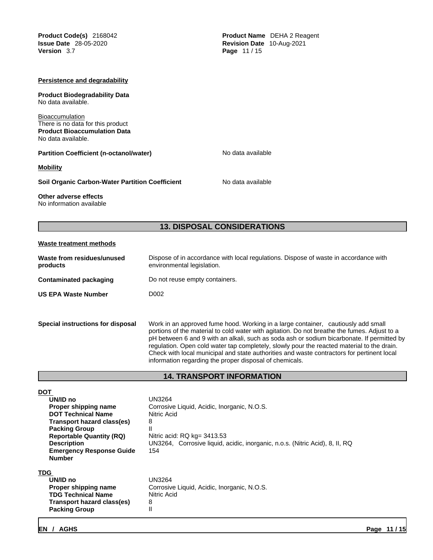**Product Code(s)** 2168042 **Product Name** DEHA 2 Reagent **Issue Date** 28-05-2020 **Revision Date** 10-Aug-2021 **Version** 3.7 **Page** 11 / 15

### **Persistence and degradability**

**Product Biodegradability Data** No data available.

**Bioaccumulation** There is no data for this product **Product Bioaccumulation Data** No data available.

**Partition Coefficient (n-octanol/water)** No data available

**Mobility**

**Soil Organic Carbon-Water Partition Coefficient** No data available

#### **Other adverse effects** No information available

**13. DISPOSAL CONSIDERATIONS** 

## **Waste treatment methods**

| Waste from residues/unused<br>products | Dispose of in accordance with local regulations. Dispose of waste in accordance with<br>environmental legislation.                                                                                                                                                                                                                                                                                                                                                          |
|----------------------------------------|-----------------------------------------------------------------------------------------------------------------------------------------------------------------------------------------------------------------------------------------------------------------------------------------------------------------------------------------------------------------------------------------------------------------------------------------------------------------------------|
| <b>Contaminated packaging</b>          | Do not reuse empty containers.                                                                                                                                                                                                                                                                                                                                                                                                                                              |
| <b>US EPA Waste Number</b>             | D <sub>0</sub> 02                                                                                                                                                                                                                                                                                                                                                                                                                                                           |
|                                        |                                                                                                                                                                                                                                                                                                                                                                                                                                                                             |
| Special instructions for disposal      | Work in an approved fume hood. Working in a large container, cautiously add small<br>portions of the material to cold water with agitation. Do not breathe the fumes. Adjust to a<br>pH between 6 and 9 with an alkali, such as soda ash or sodium bicarbonate. If permitted by<br>regulation. Open cold water tap completely, slowly pour the reacted material to the drain.<br>Check with local municipal and state authorities and waste contractors for pertinent local |

## **14. TRANSPORT INFORMATION**

information regarding the proper disposal of chemicals.

| <b>DOT</b>                                       |                                                                              |
|--------------------------------------------------|------------------------------------------------------------------------------|
| UN/ID no                                         | UN3264                                                                       |
| Proper shipping name                             | Corrosive Liquid, Acidic, Inorganic, N.O.S.                                  |
| <b>DOT Technical Name</b>                        | Nitric Acid                                                                  |
| Transport hazard class(es)                       | 8                                                                            |
| <b>Packing Group</b>                             | Ш                                                                            |
| <b>Reportable Quantity (RQ)</b>                  | Nitric acid: $RQ$ kg= 3413.53                                                |
| <b>Description</b>                               | UN3264, Corrosive liquid, acidic, inorganic, n.o.s. (Nitric Acid), 8, II, RQ |
| <b>Emergency Response Guide</b><br><b>Number</b> | 154                                                                          |
| TDG                                              |                                                                              |
| UN/ID no                                         | <b>UN3264</b>                                                                |
| Proper shipping name                             | Corrosive Liquid, Acidic, Inorganic, N.O.S.                                  |
| <b>TDG Technical Name</b>                        | Nitric Acid                                                                  |
| Transport hazard class(es)                       | 8                                                                            |
| <b>Packing Group</b>                             | $\mathsf{I}$                                                                 |
|                                                  |                                                                              |
|                                                  |                                                                              |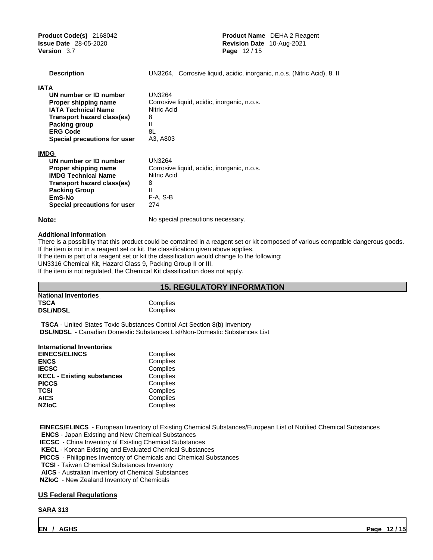**Product Code(s)** 2168042 **Product Name** DEHA 2 Reagent **Issue Date** 28-05-2020 **Revision Date** 10-Aug-2021 **Version** 3.7 **Page** 12 / 15

| <b>Description</b>           | UN3264, Corrosive liquid, acidic, inorganic, n.o.s. (Nitric Acid), 8, II |
|------------------------------|--------------------------------------------------------------------------|
| IATA                         |                                                                          |
| UN number or ID number       | UN3264                                                                   |
| Proper shipping name         | Corrosive liquid, acidic, inorganic, n.o.s.                              |
| <b>IATA Technical Name</b>   | Nitric Acid                                                              |
| Transport hazard class(es)   | 8                                                                        |
| Packing group                | Ш                                                                        |
| <b>ERG Code</b>              | 8L                                                                       |
| Special precautions for user | A3, A803                                                                 |
| <b>IMDG</b>                  |                                                                          |
| UN number or ID number       | UN3264                                                                   |
| Proper shipping name         | Corrosive liquid, acidic, inorganic, n.o.s.                              |
| <b>IMDG Technical Name</b>   | Nitric Acid                                                              |
| Transport hazard class(es)   | 8                                                                        |
| <b>Packing Group</b>         | Ш                                                                        |
| EmS-No                       | F-A, S-B                                                                 |
| Special precautions for user | 274                                                                      |
| Note:                        | No special precautions necessary.                                        |

## **Additional information**

There is a possibility that this product could be contained in a reagent set or kit composed of various compatible dangerous goods. If the item is not in a reagent set or kit, the classification given above applies. If the item is part of a reagent set or kit the classification would change to the following:

UN3316 Chemical Kit, Hazard Class 9, Packing Group II or III.

If the item is not regulated, the Chemical Kit classification does not apply.

## **15. REGULATORY INFORMATION**

| <b>National Inventories</b> |          |
|-----------------------------|----------|
| <b>TSCA</b>                 | Complies |
| <b>DSL/NDSL</b>             | Complies |

**TSCA** - United States Toxic Substances Control Act Section 8(b) Inventory  **DSL/NDSL** - Canadian Domestic Substances List/Non-Domestic Substances List

## **International Inventories**

| <b>EINECS/ELINCS</b>              | Complies |  |
|-----------------------------------|----------|--|
| <b>ENCS</b>                       | Complies |  |
| <b>IECSC</b>                      | Complies |  |
| <b>KECL - Existing substances</b> | Complies |  |
| <b>PICCS</b>                      | Complies |  |
| TCSI                              | Complies |  |
| <b>AICS</b>                       | Complies |  |
| <b>NZIoC</b>                      | Complies |  |
|                                   |          |  |

 **EINECS/ELINCS** - European Inventory of Existing Chemical Substances/European List of Notified Chemical Substances

**ENCS** - Japan Existing and New Chemical Substances

 **IECSC** - China Inventory of Existing Chemical Substances

**KECL** - Korean Existing and Evaluated Chemical Substances

 **PICCS** - Philippines Inventory of Chemicals and Chemical Substances

**TCSI** - Taiwan Chemical Substances Inventory

**AICS** - Australian Inventory of Chemical Substances

 **NZIoC** - New Zealand Inventory of Chemicals

## **US Federal Regulations**

## **SARA 313**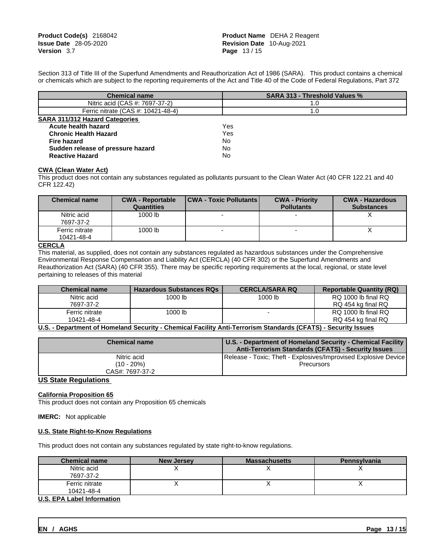Section 313 of Title III of the Superfund Amendments and Reauthorization Act of 1986 (SARA). This product contains a chemical or chemicals which are subject to the reporting requirements of the Act and Title 40 of the Code of Federal Regulations, Part 372

| <b>Chemical name</b>                  | <b>SARA 313 - Threshold Values %</b> |
|---------------------------------------|--------------------------------------|
| Nitric acid (CAS #: 7697-37-2)        | 1.0                                  |
| Ferric nitrate (CAS #: 10421-48-4)    | 1.0                                  |
| <b>SARA 311/312 Hazard Categories</b> |                                      |
| Acute health hazard                   | Yes                                  |
| <b>Chronic Health Hazard</b>          | Yes                                  |
| <b>Fire hazard</b>                    | No                                   |
| Sudden release of pressure hazard     | No                                   |
| <b>Reactive Hazard</b>                | No                                   |

#### **CWA** (Clean Water Act)

This product does not contain any substances regulated as pollutants pursuant to the Clean Water Act (40 CFR 122.21 and 40 CFR 122.42)

| <b>Chemical name</b>         | <b>CWA - Reportable</b><br><b>Quantities</b> | <b>CWA - Toxic Pollutants  </b> | <b>CWA - Priority</b><br><b>Pollutants</b> | <b>CWA - Hazardous</b><br><b>Substances</b> |
|------------------------------|----------------------------------------------|---------------------------------|--------------------------------------------|---------------------------------------------|
| Nitric acid<br>7697-37-2     | 1000 lb                                      |                                 |                                            |                                             |
| Ferric nitrate<br>10421-48-4 | 1000 lb                                      |                                 |                                            |                                             |

### **CERCLA**

This material, as supplied, does not contain any substances regulated as hazardous substances under the Comprehensive Environmental Response Compensation and Liability Act (CERCLA) (40 CFR 302) or the Superfund Amendments and Reauthorization Act (SARA) (40 CFR 355). There may be specific reporting requirements at the local, regional, or state level pertaining to releases of this material

| <b>Chemical name</b> | <b>Hazardous Substances RQs</b> | <b>CERCLA/SARA RQ</b> | <b>Reportable Quantity (RQ)</b> |
|----------------------|---------------------------------|-----------------------|---------------------------------|
| Nitric acid          | 1000 lb                         | 1000 lb               | RQ 1000 lb final RQ             |
| 7697-37-2            |                                 |                       | RQ 454 kg final RQ              |
| Ferric nitrate       | 1000 lb                         |                       | RQ 1000 lb final RQ             |
| 10421-48-4           |                                 |                       | RQ 454 kg final RQ              |

**U.S. - Department of Homeland Security - Chemical Facility Anti-Terrorism Standards (CFATS)- Security Issues**

| <b>Chemical name</b>          | U.S. - Department of Homeland Security - Chemical Facility<br>Anti-Terrorism Standards (CFATS) - Security Issues |
|-------------------------------|------------------------------------------------------------------------------------------------------------------|
| Nitric acid                   | Release - Toxic; Theft - Explosives/Improvised Explosive Device                                                  |
| (10 - 20%)<br>CAS#: 7697-37-2 | <b>Precursors</b>                                                                                                |

**US State Regulations**

#### **California Proposition 65** This product does not contain any Proposition 65 chemicals

**IMERC:** Not applicable

## **U.S. State Right-to-Know Regulations**

This product does not contain any substances regulated by state right-to-know regulations.

| <b>Chemical name</b>             | <b>New Jersey</b> | <b>Massachusetts</b> | Pennsylvania |
|----------------------------------|-------------------|----------------------|--------------|
| Nitric acid                      |                   |                      |              |
| 7697-37-2                        |                   |                      |              |
| Ferric nitrate                   |                   |                      |              |
| 10421-48-4                       |                   |                      |              |
| <b>ILC EDA Lohal Information</b> |                   |                      |              |

## **U.S. EPA Label Information**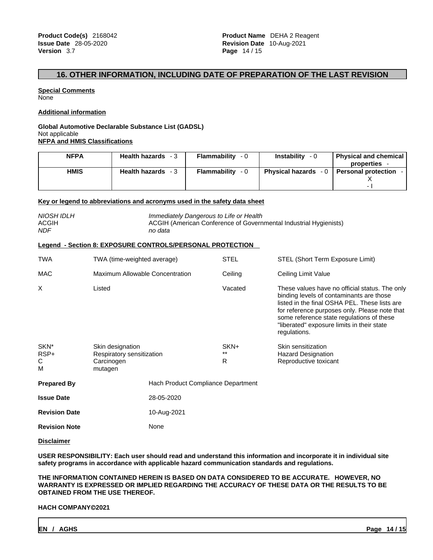## **16. OTHER INFORMATION, INCLUDING DATE OF PREPARATION OF THE LAST REVISION**

**Special Comments None** 

**Additional information**

## **Global Automotive Declarable Substance List (GADSL)** Not applicable **NFPA and HMIS Classifications**

| <b>NFPA</b> | <b>Health hazards</b><br>- 3 | Flammability<br>- 0 | <b>Instability</b><br>- 0      | <b>Physical and chemical</b><br>properties |
|-------------|------------------------------|---------------------|--------------------------------|--------------------------------------------|
| <b>HMIS</b> | <b>Health hazards</b>        | Flammability<br>- 0 | <b>Physical hazards</b><br>- 0 | <b>Personal protection</b>                 |
|             |                              |                     |                                |                                            |
|             |                              |                     |                                | $\overline{\phantom{0}}$                   |

#### **Key or legend to abbreviations and acronyms used in the safety data sheet**

| <b>NIOSH IDLH</b><br><b>ACGIH</b><br><b>NDF</b> |                                                                        | Immediately Dangerous to Life or Health<br>no data        |                 | ACGIH (American Conference of Governmental Industrial Hygienists)                                                                                                                                                                                                                                       |
|-------------------------------------------------|------------------------------------------------------------------------|-----------------------------------------------------------|-----------------|---------------------------------------------------------------------------------------------------------------------------------------------------------------------------------------------------------------------------------------------------------------------------------------------------------|
|                                                 |                                                                        | Legend - Section 8: EXPOSURE CONTROLS/PERSONAL PROTECTION |                 |                                                                                                                                                                                                                                                                                                         |
| <b>TWA</b>                                      | TWA (time-weighted average)                                            |                                                           | <b>STEL</b>     | STEL (Short Term Exposure Limit)                                                                                                                                                                                                                                                                        |
| MAC                                             | Maximum Allowable Concentration                                        |                                                           | Ceiling         | Ceiling Limit Value                                                                                                                                                                                                                                                                                     |
| X                                               | Listed                                                                 |                                                           | Vacated         | These values have no official status. The only<br>binding levels of contaminants are those<br>listed in the final OSHA PEL. These lists are<br>for reference purposes only. Please note that<br>some reference state regulations of these<br>"liberated" exposure limits in their state<br>regulations. |
| SKN*<br>RSP+<br>С<br>M                          | Skin designation<br>Respiratory sensitization<br>Carcinogen<br>mutagen |                                                           | SKN+<br>**<br>R | Skin sensitization<br><b>Hazard Designation</b><br>Reproductive toxicant                                                                                                                                                                                                                                |
| <b>Prepared By</b>                              |                                                                        | Hach Product Compliance Department                        |                 |                                                                                                                                                                                                                                                                                                         |
| <b>Issue Date</b>                               |                                                                        | 28-05-2020                                                |                 |                                                                                                                                                                                                                                                                                                         |
| <b>Revision Date</b>                            |                                                                        | 10-Aug-2021                                               |                 |                                                                                                                                                                                                                                                                                                         |
| <b>Revision Note</b>                            |                                                                        | None                                                      |                 |                                                                                                                                                                                                                                                                                                         |
|                                                 |                                                                        |                                                           |                 |                                                                                                                                                                                                                                                                                                         |

## **Disclaimer**

**USER RESPONSIBILITY: Each user should read and understand this information and incorporate it in individual site safety programs in accordance with applicable hazard communication standards and regulations.**

**THE INFORMATION CONTAINED HEREIN IS BASED ON DATA CONSIDERED TO BE ACCURATE. HOWEVER, NO WARRANTY IS EXPRESSED OR IMPLIED REGARDING THE ACCURACY OF THESE DATA OR THE RESULTS TO BE OBTAINED FROM THE USE THEREOF.**

#### **HACH COMPANYÓ2021**